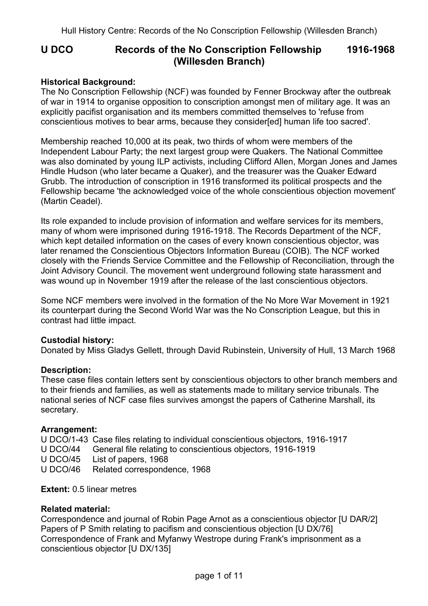## **U DCO Records of the No Conscription Fellowship 1916-1968 (Willesden Branch)**

## **Historical Background:**

The No Conscription Fellowship (NCF) was founded by Fenner Brockway after the outbreak of war in 1914 to organise opposition to conscription amongst men of military age. It was an explicitly pacifist organisation and its members committed themselves to 'refuse from conscientious motives to bear arms, because they consider[ed] human life too sacred'.

Membership reached 10,000 at its peak, two thirds of whom were members of the Independent Labour Party; the next largest group were Quakers. The National Committee was also dominated by young ILP activists, including Clifford Allen, Morgan Jones and James Hindle Hudson (who later became a Quaker), and the treasurer was the Quaker Edward Grubb. The introduction of conscription in 1916 transformed its political prospects and the Fellowship became 'the acknowledged voice of the whole conscientious objection movement' (Martin Ceadel).

Its role expanded to include provision of information and welfare services for its members, many of whom were imprisoned during 1916-1918. The Records Department of the NCF, which kept detailed information on the cases of every known conscientious objector, was later renamed the Conscientious Objectors Information Bureau (COIB). The NCF worked closely with the Friends Service Committee and the Fellowship of Reconciliation, through the Joint Advisory Council. The movement went underground following state harassment and was wound up in November 1919 after the release of the last conscientious objectors.

Some NCF members were involved in the formation of the No More War Movement in 1921 its counterpart during the Second World War was the No Conscription League, but this in contrast had little impact.

## **Custodial history:**

Donated by Miss Gladys Gellett, through David Rubinstein, University of Hull, 13 March 1968

## **Description:**

These case files contain letters sent by conscientious objectors to other branch members and to their friends and families, as well as statements made to military service tribunals. The national series of NCF case files survives amongst the papers of Catherine Marshall, its secretary.

## **Arrangement:**

U DCO/1-43 Case files relating to individual conscientious objectors, 1916-1917

U DCO/44 General file relating to conscientious objectors, 1916-1919

- U DCO/45 List of papers, 1968
- U DCO/46 Related correspondence, 1968

#### **Extent:** 0.5 linear metres

#### **Related material:**

Correspondence and journal of Robin Page Arnot as a conscientious objector [U DAR/2] Papers of P Smith relating to pacifism and conscientious objection [U DX/76] Correspondence of Frank and Myfanwy Westrope during Frank's imprisonment as a conscientious objector [U DX/135]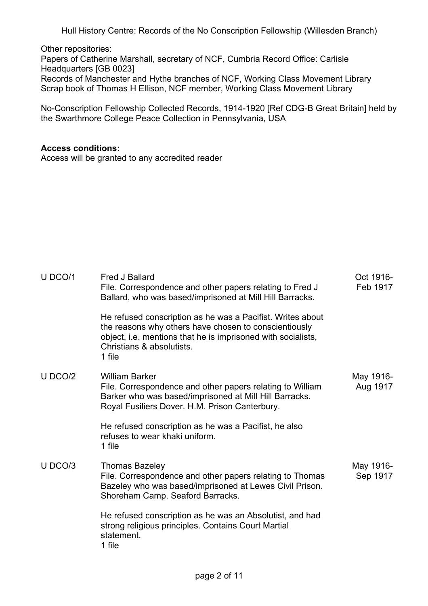Other repositories:

Papers of Catherine Marshall, secretary of NCF, Cumbria Record Office: Carlisle Headquarters [GB 0023]

Records of Manchester and Hythe branches of NCF, Working Class Movement Library Scrap book of Thomas H Ellison, NCF member, Working Class Movement Library

No-Conscription Fellowship Collected Records, 1914-1920 [Ref CDG-B Great Britain] held by the Swarthmore College Peace Collection in Pennsylvania, USA

#### **Access conditions:**

Access will be granted to any accredited reader

| U DCO/1 | <b>Fred J Ballard</b><br>File. Correspondence and other papers relating to Fred J<br>Ballard, who was based/imprisoned at Mill Hill Barracks.                                                                              | Oct 1916-<br>Feb 1917 |
|---------|----------------------------------------------------------------------------------------------------------------------------------------------------------------------------------------------------------------------------|-----------------------|
|         | He refused conscription as he was a Pacifist. Writes about<br>the reasons why others have chosen to conscientiously<br>object, i.e. mentions that he is imprisoned with socialists,<br>Christians & absolutists.<br>1 file |                       |
| U DCO/2 | <b>William Barker</b><br>File. Correspondence and other papers relating to William<br>Barker who was based/imprisoned at Mill Hill Barracks.<br>Royal Fusiliers Dover. H.M. Prison Canterbury.                             | May 1916-<br>Aug 1917 |
|         | He refused conscription as he was a Pacifist, he also<br>refuses to wear khaki uniform.<br>1 file                                                                                                                          |                       |
| U DCO/3 | <b>Thomas Bazeley</b><br>File. Correspondence and other papers relating to Thomas<br>Bazeley who was based/imprisoned at Lewes Civil Prison.<br>Shoreham Camp. Seaford Barracks.                                           | May 1916-<br>Sep 1917 |
|         | He refused conscription as he was an Absolutist, and had<br>strong religious principles. Contains Court Martial<br>statement.<br>1 file                                                                                    |                       |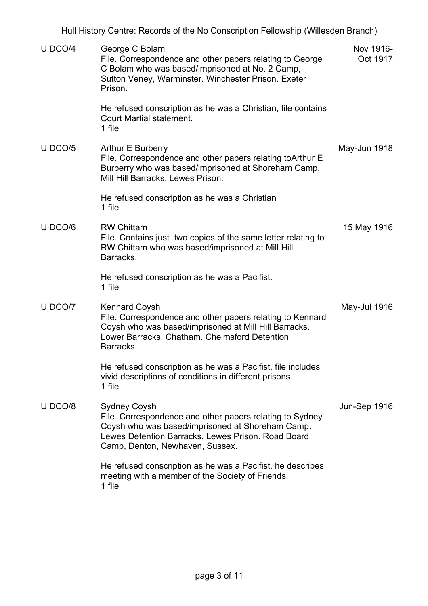| U DCO/4 | George C Bolam<br>File. Correspondence and other papers relating to George<br>C Bolam who was based/imprisoned at No. 2 Camp,<br>Sutton Veney, Warminster. Winchester Prison. Exeter<br>Prison.                              | Nov 1916-<br>Oct 1917 |
|---------|------------------------------------------------------------------------------------------------------------------------------------------------------------------------------------------------------------------------------|-----------------------|
|         | He refused conscription as he was a Christian, file contains<br><b>Court Martial statement.</b><br>1 file                                                                                                                    |                       |
| U DCO/5 | Arthur E Burberry<br>File. Correspondence and other papers relating toArthur E<br>Burberry who was based/imprisoned at Shoreham Camp.<br>Mill Hill Barracks, Lewes Prison.                                                   | May-Jun 1918          |
|         | He refused conscription as he was a Christian<br>1 file                                                                                                                                                                      |                       |
| U DCO/6 | <b>RW Chittam</b><br>File. Contains just two copies of the same letter relating to<br>RW Chittam who was based/imprisoned at Mill Hill<br>Barracks.                                                                          | 15 May 1916           |
|         | He refused conscription as he was a Pacifist.<br>1 file                                                                                                                                                                      |                       |
| U DCO/7 | <b>Kennard Coysh</b><br>File. Correspondence and other papers relating to Kennard<br>Coysh who was based/imprisoned at Mill Hill Barracks.<br>Lower Barracks, Chatham. Chelmsford Detention<br>Barracks.                     | May-Jul 1916          |
|         | He refused conscription as he was a Pacifist, file includes<br>vivid descriptions of conditions in different prisons.<br>1 file                                                                                              |                       |
| U DCO/8 | <b>Sydney Coysh</b><br>File. Correspondence and other papers relating to Sydney<br>Coysh who was based/imprisoned at Shoreham Camp.<br>Lewes Detention Barracks, Lewes Prison, Road Board<br>Camp, Denton, Newhaven, Sussex. | Jun-Sep 1916          |
|         | He refused conscription as he was a Pacifist, he describes<br>meeting with a member of the Society of Friends.<br>1 file                                                                                                     |                       |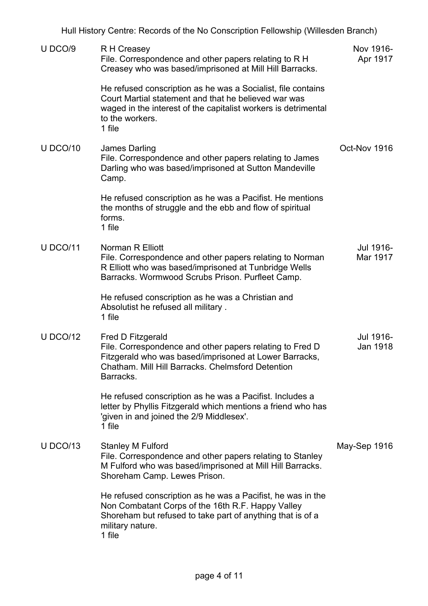| U DCO/9         | R H Creasey<br>File. Correspondence and other papers relating to R H<br>Creasey who was based/imprisoned at Mill Hill Barracks.                                                                                     | Nov 1916-<br>Apr 1917 |
|-----------------|---------------------------------------------------------------------------------------------------------------------------------------------------------------------------------------------------------------------|-----------------------|
|                 | He refused conscription as he was a Socialist, file contains<br>Court Martial statement and that he believed war was<br>waged in the interest of the capitalist workers is detrimental<br>to the workers.<br>1 file |                       |
| U DCO/10        | <b>James Darling</b><br>File. Correspondence and other papers relating to James<br>Darling who was based/imprisoned at Sutton Mandeville<br>Camp.                                                                   | Oct-Nov 1916          |
|                 | He refused conscription as he was a Pacifist. He mentions<br>the months of struggle and the ebb and flow of spiritual<br>forms.<br>1 file                                                                           |                       |
| <b>U DCO/11</b> | Norman R Elliott<br>File. Correspondence and other papers relating to Norman<br>R Elliott who was based/imprisoned at Tunbridge Wells<br>Barracks. Wormwood Scrubs Prison. Purfleet Camp.                           | Jul 1916-<br>Mar 1917 |
|                 | He refused conscription as he was a Christian and<br>Absolutist he refused all military.<br>1 file                                                                                                                  |                       |
| <b>U DCO/12</b> | Fred D Fitzgerald<br>File. Correspondence and other papers relating to Fred D<br>Fitzgerald who was based/imprisoned at Lower Barracks,<br>Chatham, Mill Hill Barracks, Chelmsford Detention<br>Barracks.           | Jul 1916-<br>Jan 1918 |
|                 | He refused conscription as he was a Pacifist. Includes a<br>letter by Phyllis Fitzgerald which mentions a friend who has<br>'given in and joined the 2/9 Middlesex'.<br>1 file                                      |                       |
| $U$ DCO/13      | <b>Stanley M Fulford</b><br>File. Correspondence and other papers relating to Stanley<br>M Fulford who was based/imprisoned at Mill Hill Barracks.<br>Shoreham Camp. Lewes Prison.                                  | May-Sep 1916          |
|                 | He refused conscription as he was a Pacifist, he was in the<br>Non Combatant Corps of the 16th R.F. Happy Valley<br>Shoreham but refused to take part of anything that is of a<br>military nature.<br>1 file        |                       |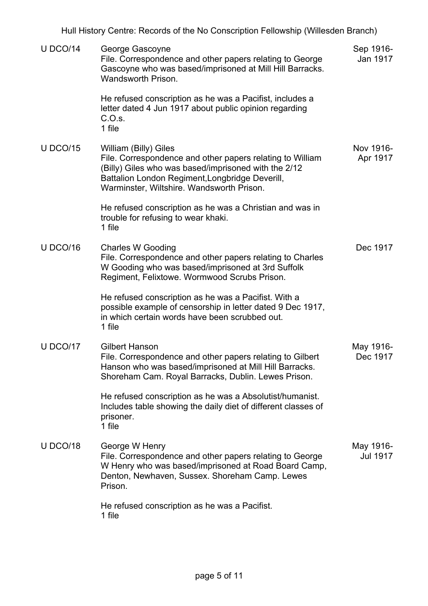| U DCO/14       | George Gascoyne<br>File. Correspondence and other papers relating to George<br>Gascoyne who was based/imprisoned at Mill Hill Barracks.<br>Wandsworth Prison.                                                                              | Sep 1916-<br>Jan 1917        |
|----------------|--------------------------------------------------------------------------------------------------------------------------------------------------------------------------------------------------------------------------------------------|------------------------------|
|                | He refused conscription as he was a Pacifist, includes a<br>letter dated 4 Jun 1917 about public opinion regarding<br>C.O.s.<br>1 file                                                                                                     |                              |
| <b>UDCO/15</b> | William (Billy) Giles<br>File. Correspondence and other papers relating to William<br>(Billy) Giles who was based/imprisoned with the 2/12<br>Battalion London Regiment, Longbridge Deverill,<br>Warminster, Wiltshire. Wandsworth Prison. | Nov 1916-<br>Apr 1917        |
|                | He refused conscription as he was a Christian and was in<br>trouble for refusing to wear khaki.<br>1 file                                                                                                                                  |                              |
| U DCO/16       | <b>Charles W Gooding</b><br>File. Correspondence and other papers relating to Charles<br>W Gooding who was based/imprisoned at 3rd Suffolk<br>Regiment, Felixtowe. Wormwood Scrubs Prison.                                                 | Dec 1917                     |
|                | He refused conscription as he was a Pacifist. With a<br>possible example of censorship in letter dated 9 Dec 1917,<br>in which certain words have been scrubbed out.<br>1 file                                                             |                              |
| U DCO/17       | <b>Gilbert Hanson</b><br>File. Correspondence and other papers relating to Gilbert<br>Hanson who was based/imprisoned at Mill Hill Barracks.<br>Shoreham Cam. Royal Barracks, Dublin. Lewes Prison.                                        | May 1916-<br>Dec 1917        |
|                | He refused conscription as he was a Absolutist/humanist.<br>Includes table showing the daily diet of different classes of<br>prisoner.<br>1 file                                                                                           |                              |
| U DCO/18       | George W Henry<br>File. Correspondence and other papers relating to George<br>W Henry who was based/imprisoned at Road Board Camp,<br>Denton, Newhaven, Sussex. Shoreham Camp. Lewes<br>Prison.                                            | May 1916-<br><b>Jul 1917</b> |
|                | He refused conscription as he was a Pacifist.<br>1 file                                                                                                                                                                                    |                              |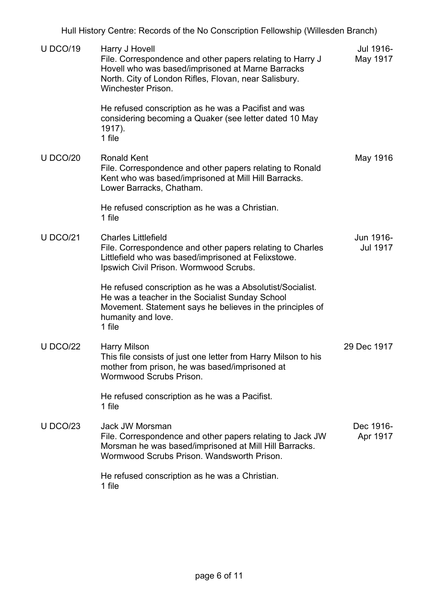| <b>U DCO/19</b> | Harry J Hovell<br>File. Correspondence and other papers relating to Harry J<br>Hovell who was based/imprisoned at Marne Barracks<br>North. City of London Rifles, Flovan, near Salisbury.<br><b>Winchester Prison.</b> | Jul 1916-<br>May 1917 |
|-----------------|------------------------------------------------------------------------------------------------------------------------------------------------------------------------------------------------------------------------|-----------------------|
|                 | He refused conscription as he was a Pacifist and was<br>considering becoming a Quaker (see letter dated 10 May<br>1917).<br>1 file                                                                                     |                       |
| <b>U DCO/20</b> | <b>Ronald Kent</b><br>File. Correspondence and other papers relating to Ronald<br>Kent who was based/imprisoned at Mill Hill Barracks.<br>Lower Barracks, Chatham.                                                     | May 1916              |
|                 | He refused conscription as he was a Christian.<br>1 file                                                                                                                                                               |                       |
| <b>U DCO/21</b> | <b>Charles Littlefield</b><br>File. Correspondence and other papers relating to Charles<br>Littlefield who was based/imprisoned at Felixstowe.<br>Ipswich Civil Prison. Wormwood Scrubs.                               | Jun 1916-<br>Jul 1917 |
|                 | He refused conscription as he was a Absolutist/Socialist.<br>He was a teacher in the Socialist Sunday School<br>Movement. Statement says he believes in the principles of<br>humanity and love.<br>1 file              |                       |
| <b>U DCO/22</b> | <b>Harry Milson</b><br>This file consists of just one letter from Harry Milson to his<br>mother from prison, he was based/imprisoned at<br>Wormwood Scrubs Prison.                                                     | 29 Dec 1917           |
|                 | He refused conscription as he was a Pacifist.<br>1 file                                                                                                                                                                |                       |
| <b>U DCO/23</b> | Jack JW Morsman<br>File. Correspondence and other papers relating to Jack JW<br>Morsman he was based/imprisoned at Mill Hill Barracks.<br>Wormwood Scrubs Prison, Wandsworth Prison.                                   | Dec 1916-<br>Apr 1917 |
|                 | He refused conscription as he was a Christian.<br>1 file                                                                                                                                                               |                       |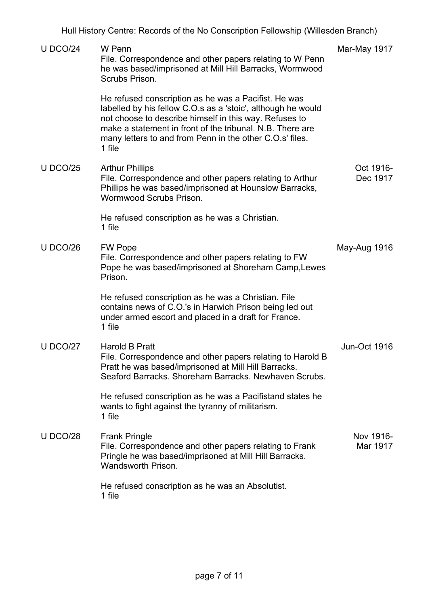| <b>U DCO/24</b> | W Penn<br>File. Correspondence and other papers relating to W Penn<br>he was based/imprisoned at Mill Hill Barracks, Wormwood<br>Scrubs Prison.                                                                                                                                                                   | Mar-May 1917          |
|-----------------|-------------------------------------------------------------------------------------------------------------------------------------------------------------------------------------------------------------------------------------------------------------------------------------------------------------------|-----------------------|
|                 | He refused conscription as he was a Pacifist. He was<br>labelled by his fellow C.O.s as a 'stoic', although he would<br>not choose to describe himself in this way. Refuses to<br>make a statement in front of the tribunal. N.B. There are<br>many letters to and from Penn in the other C.O.s' files.<br>1 file |                       |
| <b>U DCO/25</b> | <b>Arthur Phillips</b><br>File. Correspondence and other papers relating to Arthur<br>Phillips he was based/imprisoned at Hounslow Barracks,<br>Wormwood Scrubs Prison.                                                                                                                                           | Oct 1916-<br>Dec 1917 |
|                 | He refused conscription as he was a Christian.<br>1 file                                                                                                                                                                                                                                                          |                       |
| U DCO/26        | <b>FW Pope</b><br>File. Correspondence and other papers relating to FW<br>Pope he was based/imprisoned at Shoreham Camp, Lewes<br>Prison.                                                                                                                                                                         | May-Aug 1916          |
|                 | He refused conscription as he was a Christian. File<br>contains news of C.O.'s in Harwich Prison being led out<br>under armed escort and placed in a draft for France.<br>1 file                                                                                                                                  |                       |
| <b>U DCO/27</b> | <b>Harold B Pratt</b><br>File. Correspondence and other papers relating to Harold B<br>Pratt he was based/imprisoned at Mill Hill Barracks.<br>Seaford Barracks, Shoreham Barracks, Newhaven Scrubs,                                                                                                              | Jun-Oct 1916          |
|                 | He refused conscription as he was a Pacifistand states he<br>wants to fight against the tyranny of militarism.<br>1 file                                                                                                                                                                                          |                       |
| <b>UDCO/28</b>  | <b>Frank Pringle</b><br>File. Correspondence and other papers relating to Frank<br>Pringle he was based/imprisoned at Mill Hill Barracks.<br>Wandsworth Prison.                                                                                                                                                   | Nov 1916-<br>Mar 1917 |
|                 | He refused conscription as he was an Absolutist.<br>1 file                                                                                                                                                                                                                                                        |                       |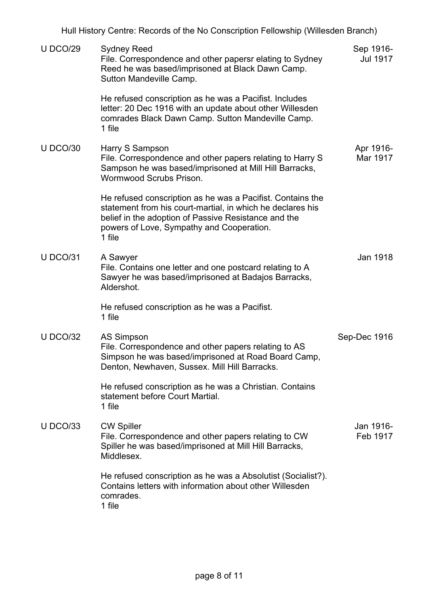| <b>U DCO/29</b> | <b>Sydney Reed</b><br>File. Correspondence and other papersr elating to Sydney<br>Reed he was based/imprisoned at Black Dawn Camp.<br>Sutton Mandeville Camp.                                                                           | Sep 1916-<br>Jul 1917 |
|-----------------|-----------------------------------------------------------------------------------------------------------------------------------------------------------------------------------------------------------------------------------------|-----------------------|
|                 | He refused conscription as he was a Pacifist. Includes<br>letter: 20 Dec 1916 with an update about other Willesden<br>comrades Black Dawn Camp. Sutton Mandeville Camp.<br>1 file                                                       |                       |
| U DCO/30        | Harry S Sampson<br>File. Correspondence and other papers relating to Harry S<br>Sampson he was based/imprisoned at Mill Hill Barracks,<br>Wormwood Scrubs Prison.                                                                       | Apr 1916-<br>Mar 1917 |
|                 | He refused conscription as he was a Pacifist. Contains the<br>statement from his court-martial, in which he declares his<br>belief in the adoption of Passive Resistance and the<br>powers of Love, Sympathy and Cooperation.<br>1 file |                       |
| U DCO/31        | A Sawyer<br>File. Contains one letter and one postcard relating to A<br>Sawyer he was based/imprisoned at Badajos Barracks,<br>Aldershot.                                                                                               | Jan 1918              |
|                 | He refused conscription as he was a Pacifist.<br>1 file                                                                                                                                                                                 |                       |
| <b>U DCO/32</b> | <b>AS Simpson</b><br>File. Correspondence and other papers relating to AS<br>Simpson he was based/imprisoned at Road Board Camp,<br>Denton, Newhaven, Sussex. Mill Hill Barracks.                                                       | Sep-Dec 1916          |
|                 | He refused conscription as he was a Christian. Contains<br>statement before Court Martial.<br>1 file                                                                                                                                    |                       |
| U DCO/33        | <b>CW Spiller</b><br>File. Correspondence and other papers relating to CW<br>Spiller he was based/imprisoned at Mill Hill Barracks,<br>Middlesex.                                                                                       | Jan 1916-<br>Feb 1917 |
|                 | He refused conscription as he was a Absolutist (Socialist?).<br>Contains letters with information about other Willesden<br>comrades.<br>1 file                                                                                          |                       |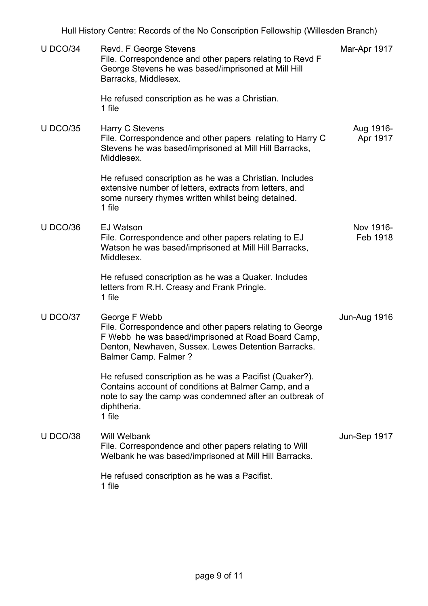| U DCO/34        | Revd. F George Stevens<br>File. Correspondence and other papers relating to Revd F<br>George Stevens he was based/imprisoned at Mill Hill<br>Barracks, Middlesex.                                                     | Mar-Apr 1917          |
|-----------------|-----------------------------------------------------------------------------------------------------------------------------------------------------------------------------------------------------------------------|-----------------------|
|                 | He refused conscription as he was a Christian.<br>1 file                                                                                                                                                              |                       |
| <b>U DCO/35</b> | Harry C Stevens<br>File. Correspondence and other papers relating to Harry C<br>Stevens he was based/imprisoned at Mill Hill Barracks,<br>Middlesex.                                                                  | Aug 1916-<br>Apr 1917 |
|                 | He refused conscription as he was a Christian. Includes<br>extensive number of letters, extracts from letters, and<br>some nursery rhymes written whilst being detained.<br>1 file                                    |                       |
| U DCO/36        | <b>EJ Watson</b><br>File. Correspondence and other papers relating to EJ<br>Watson he was based/imprisoned at Mill Hill Barracks,<br>Middlesex.                                                                       | Nov 1916-<br>Feb 1918 |
|                 | He refused conscription as he was a Quaker. Includes<br>letters from R.H. Creasy and Frank Pringle.<br>1 file                                                                                                         |                       |
| U DCO/37        | George F Webb<br>File. Correspondence and other papers relating to George<br>F Webb he was based/imprisoned at Road Board Camp,<br>Denton, Newhaven, Sussex. Lewes Detention Barracks.<br><b>Balmer Camp. Falmer?</b> | Jun-Aug 1916          |
|                 | He refused conscription as he was a Pacifist (Quaker?).<br>Contains account of conditions at Balmer Camp, and a<br>note to say the camp was condemned after an outbreak of<br>diphtheria.<br>1 file                   |                       |
| U DCO/38        | <b>Will Welbank</b><br>File. Correspondence and other papers relating to Will<br>Welbank he was based/imprisoned at Mill Hill Barracks.                                                                               | Jun-Sep 1917          |
|                 | He refused conscription as he was a Pacifist.<br>1 file                                                                                                                                                               |                       |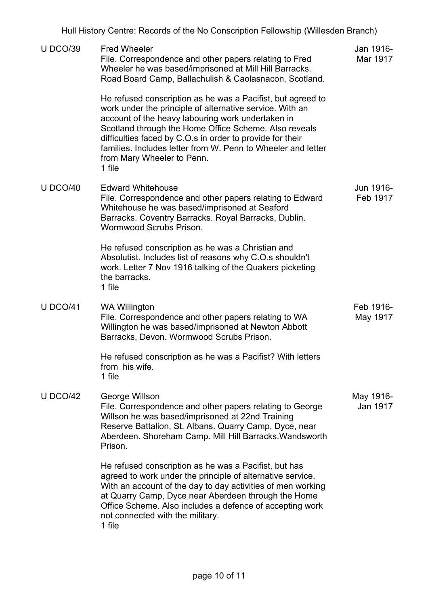| <b>U DCO/39</b> | <b>Fred Wheeler</b><br>File. Correspondence and other papers relating to Fred<br>Wheeler he was based/imprisoned at Mill Hill Barracks.<br>Road Board Camp, Ballachulish & Caolasnacon, Scotland.                                                                                                                                                                                                          | Jan 1916-<br>Mar 1917 |
|-----------------|------------------------------------------------------------------------------------------------------------------------------------------------------------------------------------------------------------------------------------------------------------------------------------------------------------------------------------------------------------------------------------------------------------|-----------------------|
|                 | He refused conscription as he was a Pacifist, but agreed to<br>work under the principle of alternative service. With an<br>account of the heavy labouring work undertaken in<br>Scotland through the Home Office Scheme. Also reveals<br>difficulties faced by C.O.s in order to provide for their<br>families. Includes letter from W. Penn to Wheeler and letter<br>from Mary Wheeler to Penn.<br>1 file |                       |
| <b>U DCO/40</b> | <b>Edward Whitehouse</b><br>File. Correspondence and other papers relating to Edward<br>Whitehouse he was based/imprisoned at Seaford<br>Barracks. Coventry Barracks. Royal Barracks, Dublin.<br>Wormwood Scrubs Prison.                                                                                                                                                                                   | Jun 1916-<br>Feb 1917 |
|                 | He refused conscription as he was a Christian and<br>Absolutist. Includes list of reasons why C.O.s shouldn't<br>work. Letter 7 Nov 1916 talking of the Quakers picketing<br>the barracks.<br>1 file                                                                                                                                                                                                       |                       |
| <b>U DCO/41</b> | <b>WA Willington</b><br>File. Correspondence and other papers relating to WA<br>Willington he was based/imprisoned at Newton Abbott<br>Barracks, Devon. Wormwood Scrubs Prison.                                                                                                                                                                                                                            | Feb 1916-<br>May 1917 |
|                 | He refused conscription as he was a Pacifist? With letters<br>from his wife.<br>1 file                                                                                                                                                                                                                                                                                                                     |                       |
| <b>U DCO/42</b> | George Willson<br>File. Correspondence and other papers relating to George<br>Willson he was based/imprisoned at 22nd Training<br>Reserve Battalion, St. Albans. Quarry Camp, Dyce, near<br>Aberdeen. Shoreham Camp. Mill Hill Barracks. Wandsworth<br>Prison.                                                                                                                                             | May 1916-<br>Jan 1917 |
|                 | He refused conscription as he was a Pacifist, but has<br>agreed to work under the principle of alternative service.<br>With an account of the day to day activities of men working<br>at Quarry Camp, Dyce near Aberdeen through the Home<br>Office Scheme. Also includes a defence of accepting work<br>not connected with the military.<br>1 file                                                        |                       |